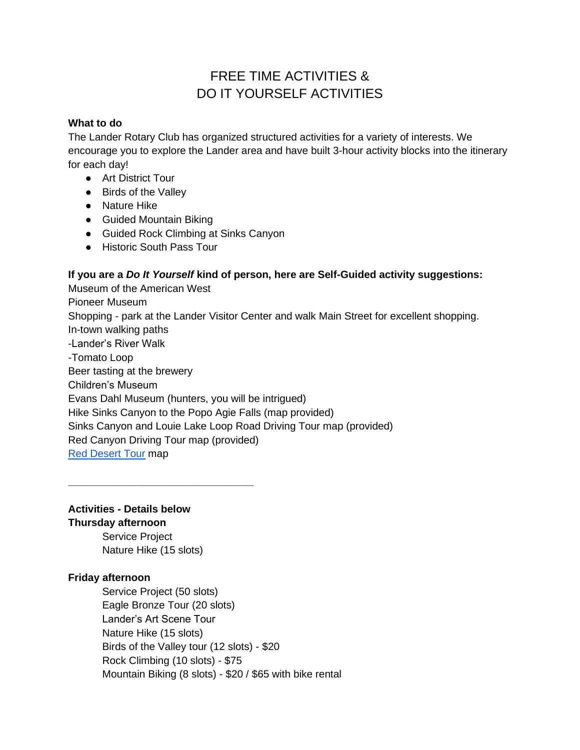# FREE TIME ACTIVITIES & DO IT YOURSELF ACTIVITIES

## **What to do**

The Lander Rotary Club has organized structured activities for a variety of interests. We encourage you to explore the Lander area and have built 3-hour activity blocks into the itinerary for each day!

- Art District Tour
- Birds of the Valley
- Nature Hike
- Guided Mountain Biking
- Guided Rock Climbing at Sinks Canyon
- Historic South Pass Tour

## **If you are a** *Do It Yourself* **kind of person, here are Self-Guided activity suggestions:**

Museum of the American West Pioneer Museum Shopping - park at the Lander Visitor Center and walk Main Street for excellent shopping. In-town walking paths -Lander's River Walk -Tomato Loop Beer tasting at the brewery Children's Museum Evans Dahl Museum (hunters, you will be intrigued) Hike Sinks Canyon to the Popo Agie Falls (map provided) Sinks Canyon and Louie Lake Loop Road Driving Tour map (provided) Red Canyon Driving Tour map (provided) [Red Desert Tour](https://reddesert.org/wp-content/uploads/2021/03/Red-Desert-Driving-Tour-Map-1-6.pdf) map

## **Activities - Details below**

**Thursday afternoon**

Service Project Nature Hike (15 slots)

**\_\_\_\_\_\_\_\_\_\_\_\_\_\_\_\_\_\_\_\_\_\_\_\_\_\_\_\_\_\_\_\_**

## **Friday afternoon**

Service Project (50 slots) Eagle Bronze Tour (20 slots) Lander's Art Scene Tour Nature Hike (15 slots) Birds of the Valley tour (12 slots) - \$20 Rock Climbing (10 slots) - \$75 Mountain Biking (8 slots) - \$20 / \$65 with bike rental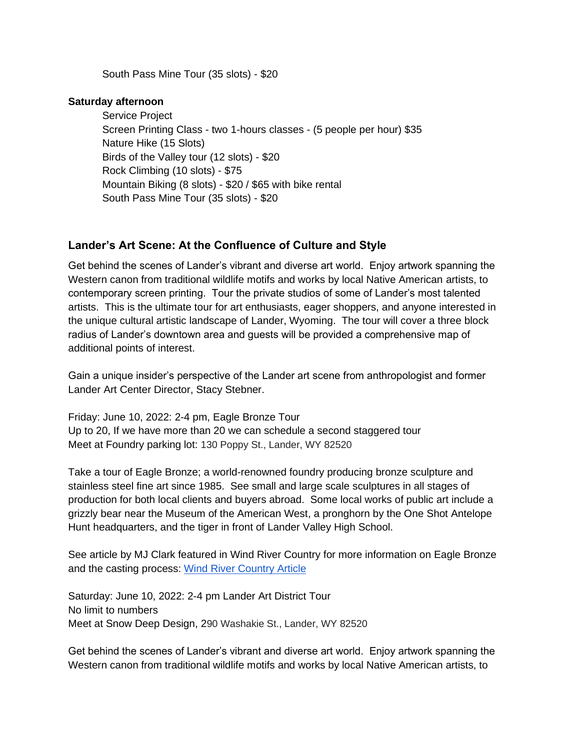South Pass Mine Tour (35 slots) - \$20

#### **Saturday afternoon**

Service Project Screen Printing Class - two 1-hours classes - (5 people per hour) \$35 Nature Hike (15 Slots) Birds of the Valley tour (12 slots) - \$20 Rock Climbing (10 slots) - \$75 Mountain Biking (8 slots) - \$20 / \$65 with bike rental South Pass Mine Tour (35 slots) - \$20

## **Lander's Art Scene: At the Confluence of Culture and Style**

Get behind the scenes of Lander's vibrant and diverse art world. Enjoy artwork spanning the Western canon from traditional wildlife motifs and works by local Native American artists, to contemporary screen printing. Tour the private studios of some of Lander's most talented artists. This is the ultimate tour for art enthusiasts, eager shoppers, and anyone interested in the unique cultural artistic landscape of Lander, Wyoming. The tour will cover a three block radius of Lander's downtown area and guests will be provided a comprehensive map of additional points of interest.

Gain a unique insider's perspective of the Lander art scene from anthropologist and former Lander Art Center Director, Stacy Stebner.

Friday: June 10, 2022: 2-4 pm, Eagle Bronze Tour Up to 20, If we have more than 20 we can schedule a second staggered tour Meet at Foundry parking lot: 130 Poppy St., Lander, WY 82520

Take a tour of Eagle Bronze; a world-renowned foundry producing bronze sculpture and stainless steel fine art since 1985. See small and large scale sculptures in all stages of production for both local clients and buyers abroad. Some local works of public art include a grizzly bear near the [Museum of the American West,](http://museumoftheamericanwest.com/) a pronghorn by the One Shot Antelope Hunt headquarters, and the tiger in front of Lander Valley High School.

See article by MJ Clark featured in Wind River Country for more information on Eagle Bronze and the casting process: [Wind River Country Article](https://windriver.org/eagle-bronze-lander-wyoming/)

Saturday: June 10, 2022: 2-4 pm Lander Art District Tour No limit to numbers Meet at Snow Deep Design, 290 Washakie St., Lander, WY 82520

Get behind the scenes of Lander's vibrant and diverse art world. Enjoy artwork spanning the Western canon from traditional wildlife motifs and works by local Native American artists, to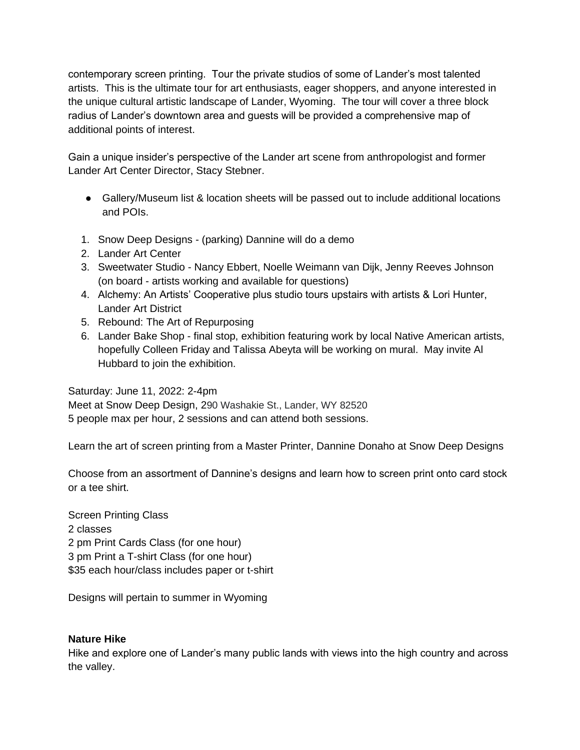contemporary screen printing. Tour the private studios of some of Lander's most talented artists. This is the ultimate tour for art enthusiasts, eager shoppers, and anyone interested in the unique cultural artistic landscape of Lander, Wyoming. The tour will cover a three block radius of Lander's downtown area and guests will be provided a comprehensive map of additional points of interest.

Gain a unique insider's perspective of the Lander art scene from anthropologist and former Lander Art Center Director, Stacy Stebner.

- Gallery/Museum list & location sheets will be passed out to include additional locations and POIs.
- 1. Snow Deep Designs (parking) Dannine will do a demo
- 2. Lander Art Center
- 3. Sweetwater Studio Nancy Ebbert, Noelle Weimann van Dijk, Jenny Reeves Johnson (on board - artists working and available for questions)
- 4. Alchemy: An Artists' Cooperative plus studio tours upstairs with artists & Lori Hunter, Lander Art District
- 5. Rebound: The Art of Repurposing
- 6. Lander Bake Shop final stop, exhibition featuring work by local Native American artists, hopefully Colleen Friday and Talissa Abeyta will be working on mural. May invite Al Hubbard to join the exhibition.

Saturday: June 11, 2022: 2-4pm

Meet at Snow Deep Design, 290 Washakie St., Lander, WY 82520 5 people max per hour, 2 sessions and can attend both sessions.

Learn the art of screen printing from a Master Printer, Dannine Donaho at Snow Deep Designs

Choose from an assortment of Dannine's designs and learn how to screen print onto card stock or a tee shirt.

Screen Printing Class 2 classes 2 pm Print Cards Class (for one hour) 3 pm Print a T-shirt Class (for one hour) \$35 each hour/class includes paper or t-shirt

Designs will pertain to summer in Wyoming

## **Nature Hike**

Hike and explore one of Lander's many public lands with views into the high country and across the valley.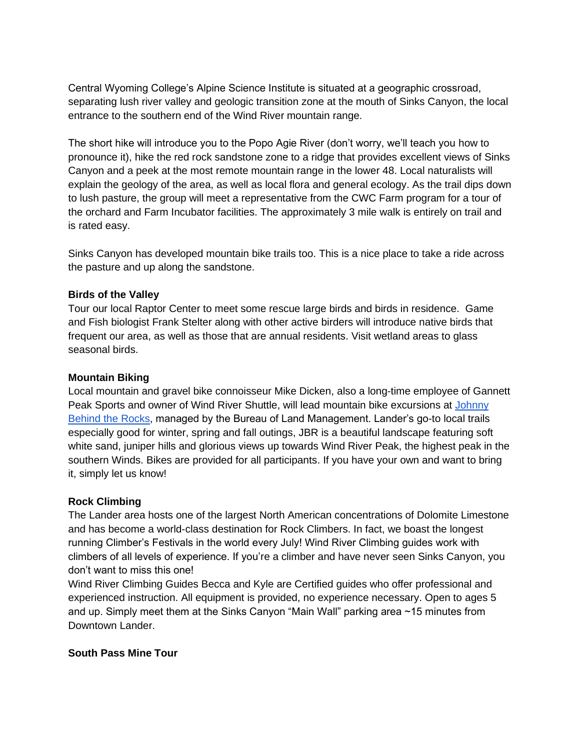Central Wyoming College's Alpine Science Institute is situated at a geographic crossroad, separating lush river valley and geologic transition zone at the mouth of Sinks Canyon, the local entrance to the southern end of the Wind River mountain range.

The short hike will introduce you to the Popo Agie River (don't worry, we'll teach you how to pronounce it), hike the red rock sandstone zone to a ridge that provides excellent views of Sinks Canyon and a peek at the most remote mountain range in the lower 48. Local naturalists will explain the geology of the area, as well as local flora and general ecology. As the trail dips down to lush pasture, the group will meet a representative from the CWC Farm program for a tour of the orchard and Farm Incubator facilities. The approximately 3 mile walk is entirely on trail and is rated easy.

Sinks Canyon has developed mountain bike trails too. This is a nice place to take a ride across the pasture and up along the sandstone.

## **Birds of the Valley**

Tour our local Raptor Center to meet some rescue large birds and birds in residence. Game and Fish biologist Frank Stelter along with other active birders will introduce native birds that frequent our area, as well as those that are annual residents. Visit wetland areas to glass seasonal birds.

## **Mountain Biking**

Local mountain and gravel bike connoisseur Mike Dicken, also a long-time employee of Gannett Peak Sports and owner of Wind River Shuttle, will lead mountain bike excursions at [Johnny](https://www.blm.gov/programs/recreation/mountainbike/johny-behind-the-rocks)  [Behind the Rocks,](https://www.blm.gov/programs/recreation/mountainbike/johny-behind-the-rocks) managed by the Bureau of Land Management. Lander's go-to local trails especially good for winter, spring and fall outings, JBR is a beautiful landscape featuring soft white sand, juniper hills and glorious views up towards Wind River Peak, the highest peak in the southern Winds. Bikes are provided for all participants. If you have your own and want to bring it, simply let us know!

## **Rock Climbing**

The Lander area hosts one of the largest North American concentrations of Dolomite Limestone and has become a world-class destination for Rock Climbers. In fact, we boast the longest running Climber's Festivals in the world every July! Wind River Climbing guides work with climbers of all levels of experience. If you're a climber and have never seen Sinks Canyon, you don't want to miss this one!

Wind River Climbing Guides Becca and Kyle are Certified guides who offer professional and experienced instruction. All equipment is provided, no experience necessary. Open to ages 5 and up. Simply meet them at the Sinks Canyon "Main Wall" parking area ~15 minutes from Downtown Lander.

## **South Pass Mine Tour**